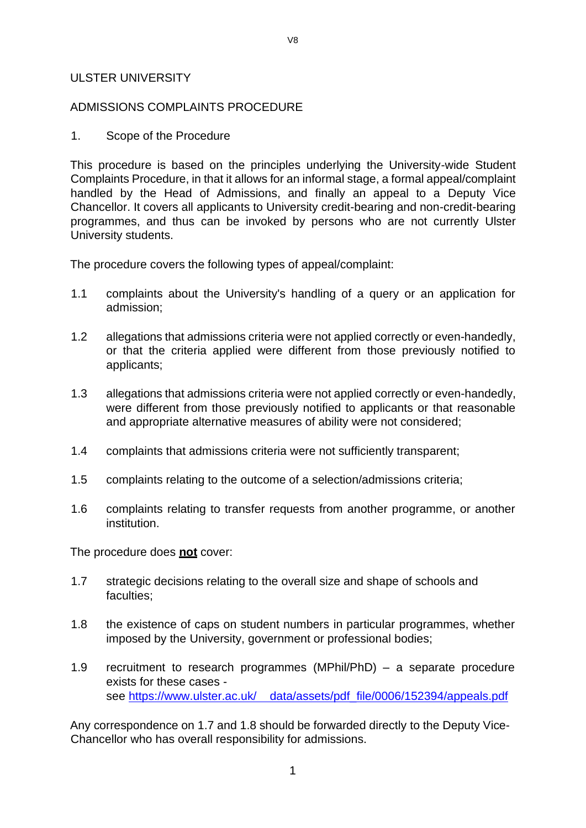#### ULSTER UNIVERSITY

#### ADMISSIONS COMPLAINTS PROCEDURE

1. Scope of the Procedure

This procedure is based on the principles underlying the University-wide Student Complaints Procedure, in that it allows for an informal stage, a formal appeal/complaint handled by the Head of Admissions, and finally an appeal to a Deputy Vice Chancellor. It covers all applicants to University credit-bearing and non-credit-bearing programmes, and thus can be invoked by persons who are not currently Ulster University students.

The procedure covers the following types of appeal/complaint:

- 1.1 complaints about the University's handling of a query or an application for admission;
- 1.2 allegations that admissions criteria were not applied correctly or even-handedly, or that the criteria applied were different from those previously notified to applicants;
- 1.3 allegations that admissions criteria were not applied correctly or even-handedly, were different from those previously notified to applicants or that reasonable and appropriate alternative measures of ability were not considered;
- 1.4 complaints that admissions criteria were not sufficiently transparent;
- 1.5 complaints relating to the outcome of a selection/admissions criteria;
- 1.6 complaints relating to transfer requests from another programme, or another institution.

The procedure does **not** cover:

- 1.7 strategic decisions relating to the overall size and shape of schools and faculties;
- 1.8 the existence of caps on student numbers in particular programmes, whether imposed by the University, government or professional bodies;
- 1.9 recruitment to research programmes (MPhil/PhD) a separate procedure exists for these cases - see https:/[/www.ulster.ac.uk/](http://www.ulster.ac.uk/) data/assets/pdf file/0006/152394/appeals.pdf

Any correspondence on 1.7 and 1.8 should be forwarded directly to the Deputy Vice-Chancellor who has overall responsibility for admissions.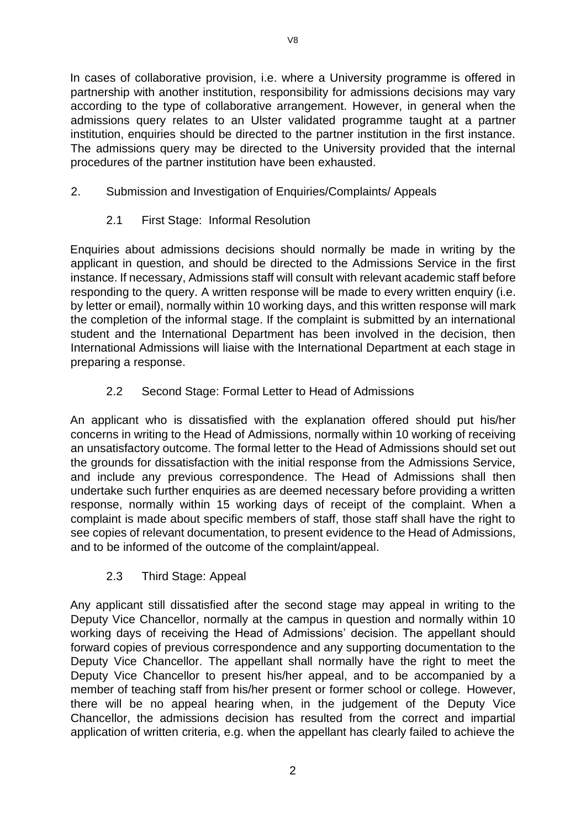In cases of collaborative provision, i.e. where a University programme is offered in partnership with another institution, responsibility for admissions decisions may vary according to the type of collaborative arrangement. However, in general when the admissions query relates to an Ulster validated programme taught at a partner institution, enquiries should be directed to the partner institution in the first instance. The admissions query may be directed to the University provided that the internal procedures of the partner institution have been exhausted.

## 2. Submission and Investigation of Enquiries/Complaints/ Appeals

2.1 First Stage: Informal Resolution

Enquiries about admissions decisions should normally be made in writing by the applicant in question, and should be directed to the Admissions Service in the first instance. If necessary, Admissions staff will consult with relevant academic staff before responding to the query. A written response will be made to every written enquiry (i.e. by letter or email), normally within 10 working days, and this written response will mark the completion of the informal stage. If the complaint is submitted by an international student and the International Department has been involved in the decision, then International Admissions will liaise with the International Department at each stage in preparing a response.

# 2.2 Second Stage: Formal Letter to Head of Admissions

An applicant who is dissatisfied with the explanation offered should put his/her concerns in writing to the Head of Admissions, normally within 10 working of receiving an unsatisfactory outcome. The formal letter to the Head of Admissions should set out the grounds for dissatisfaction with the initial response from the Admissions Service, and include any previous correspondence. The Head of Admissions shall then undertake such further enquiries as are deemed necessary before providing a written response, normally within 15 working days of receipt of the complaint. When a complaint is made about specific members of staff, those staff shall have the right to see copies of relevant documentation, to present evidence to the Head of Admissions, and to be informed of the outcome of the complaint/appeal.

### 2.3 Third Stage: Appeal

Any applicant still dissatisfied after the second stage may appeal in writing to the Deputy Vice Chancellor, normally at the campus in question and normally within 10 working days of receiving the Head of Admissions' decision. The appellant should forward copies of previous correspondence and any supporting documentation to the Deputy Vice Chancellor. The appellant shall normally have the right to meet the Deputy Vice Chancellor to present his/her appeal, and to be accompanied by a member of teaching staff from his/her present or former school or college. However, there will be no appeal hearing when, in the judgement of the Deputy Vice Chancellor, the admissions decision has resulted from the correct and impartial application of written criteria, e.g. when the appellant has clearly failed to achieve the